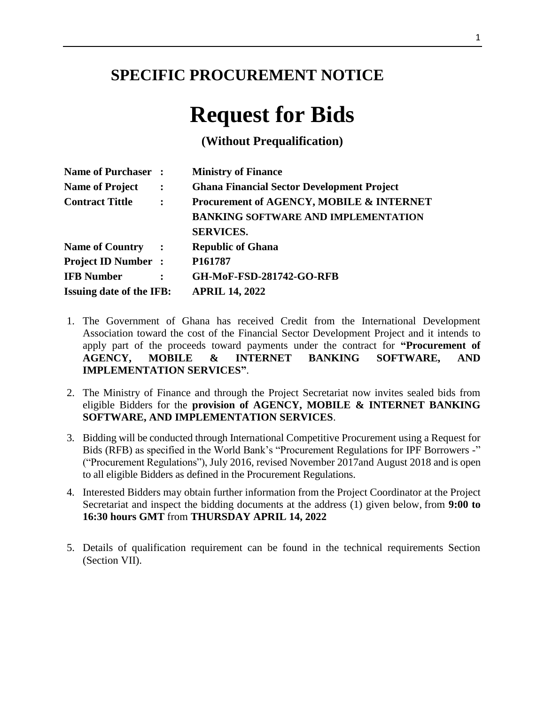## **SPECIFIC PROCUREMENT NOTICE**

# **Request for Bids**

**(Without Prequalification)**

| Name of Purchaser :                      |                      | <b>Ministry of Finance</b>                        |  |  |
|------------------------------------------|----------------------|---------------------------------------------------|--|--|
| <b>Name of Project</b>                   | $\ddot{\cdot}$       | <b>Ghana Financial Sector Development Project</b> |  |  |
| <b>Contract Tittle</b><br>$\ddot{\cdot}$ |                      | Procurement of AGENCY, MOBILE & INTERNET          |  |  |
|                                          |                      | <b>BANKING SOFTWARE AND IMPLEMENTATION</b>        |  |  |
|                                          |                      | <b>SERVICES.</b>                                  |  |  |
| <b>Name of Country</b>                   | $\ddot{\phantom{1}}$ | <b>Republic of Ghana</b>                          |  |  |
| <b>Project ID Number:</b>                |                      | P <sub>161787</sub>                               |  |  |
| <b>IFB Number</b>                        |                      | <b>GH-MoF-FSD-281742-GO-RFB</b>                   |  |  |
| <b>Issuing date of the IFB:</b>          |                      | <b>APRIL 14, 2022</b>                             |  |  |

- 1. The Government of Ghana has received Credit from the International Development Association toward the cost of the Financial Sector Development Project and it intends to apply part of the proceeds toward payments under the contract for **"Procurement of AGENCY, MOBILE & INTERNET BANKING SOFTWARE, AND IMPLEMENTATION SERVICES"**.
- 2. The Ministry of Finance and through the Project Secretariat now invites sealed bids from eligible Bidders for the **provision of AGENCY, MOBILE & INTERNET BANKING SOFTWARE, AND IMPLEMENTATION SERVICES**.
- 3. Bidding will be conducted through International Competitive Procurement using a Request for Bids (RFB) as specified in the World Bank's "Procurement Regulations for IPF Borrowers -" ("Procurement Regulations"), July 2016, revised November 2017and August 2018 and is open to all eligible Bidders as defined in the Procurement Regulations.
- 4. Interested Bidders may obtain further information from the Project Coordinator at the Project Secretariat and inspect the bidding documents at the address (1) given below, from **9:00 to 16:30 hours GMT** from **THURSDAY APRIL 14, 2022**
- 5. Details of qualification requirement can be found in the technical requirements Section (Section VII).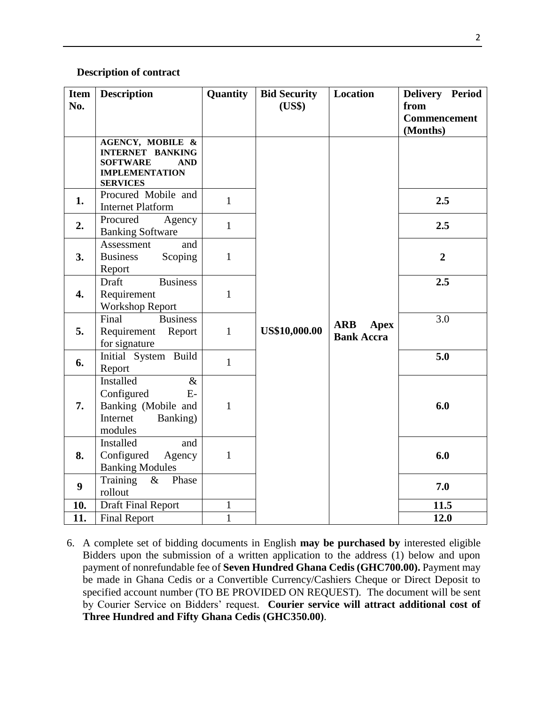### **Description of contract**

| <b>Item</b><br>No. | <b>Description</b>                                                                                                                  | Quantity     | <b>Bid Security</b><br>(US\$) | <b>Location</b>                                | Delivery Period<br>from         |
|--------------------|-------------------------------------------------------------------------------------------------------------------------------------|--------------|-------------------------------|------------------------------------------------|---------------------------------|
|                    |                                                                                                                                     |              |                               |                                                | <b>Commencement</b><br>(Months) |
|                    | <b>AGENCY, MOBILE &amp;</b><br><b>INTERNET BANKING</b><br><b>SOFTWARE</b><br><b>AND</b><br><b>IMPLEMENTATION</b><br><b>SERVICES</b> |              |                               |                                                |                                 |
| 1.                 | Procured Mobile and<br><b>Internet Platform</b>                                                                                     | $\mathbf{1}$ |                               |                                                | 2.5                             |
| 2.                 | Procured<br>Agency<br><b>Banking Software</b>                                                                                       | $\mathbf{1}$ |                               |                                                | 2.5                             |
| 3.                 | Assessment<br>and<br><b>Business</b><br>Scoping<br>Report                                                                           | $\mathbf{1}$ |                               |                                                | $\overline{2}$                  |
| 4.                 | <b>Business</b><br>Draft<br>Requirement<br><b>Workshop Report</b>                                                                   | $\mathbf{1}$ |                               |                                                | 2.5                             |
| 5.                 | Final<br><b>Business</b><br>Requirement<br>Report<br>for signature                                                                  | $\mathbf{1}$ | <b>US\$10,000.00</b>          | <b>ARB</b><br><b>Apex</b><br><b>Bank Accra</b> | 3.0                             |
| 6.                 | Initial System Build<br>Report                                                                                                      | $\mathbf{1}$ |                               |                                                | 5.0                             |
| 7.                 | <b>Installed</b><br>$\&$<br>Configured<br>$E-$<br>Banking (Mobile and<br>Internet<br>Banking)<br>modules                            | $\mathbf{1}$ |                               |                                                | 6.0                             |
| 8.                 | Installed<br>and<br>Configured<br>Agency<br><b>Banking Modules</b>                                                                  | $\mathbf{1}$ |                               |                                                | 6.0                             |
| 9                  | Training<br>$\&$<br>Phase<br>rollout                                                                                                |              |                               |                                                | 7.0                             |
| 10.                | <b>Draft Final Report</b>                                                                                                           | $\mathbf{1}$ |                               |                                                | 11.5                            |
| 11.                | <b>Final Report</b>                                                                                                                 | $\mathbf{1}$ |                               |                                                | 12.0                            |

6. A complete set of bidding documents in English **may be purchased by** interested eligible Bidders upon the submission of a written application to the address (1) below and upon payment of nonrefundable fee of **Seven Hundred Ghana Cedis (GHC700.00).** Payment may be made in Ghana Cedis or a Convertible Currency/Cashiers Cheque or Direct Deposit to specified account number (TO BE PROVIDED ON REQUEST). The document will be sent by Courier Service on Bidders' request. **Courier service will attract additional cost of Three Hundred and Fifty Ghana Cedis (GHC350.00)**.